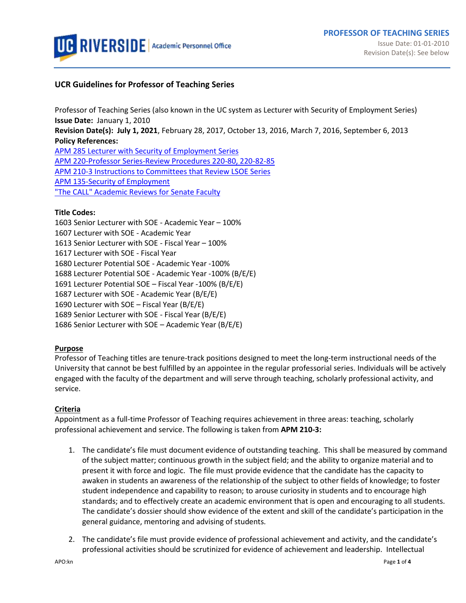

## **UCR Guidelines for Professor of Teaching Series**

Professor of Teaching Series (also known in the UC system as Lecturer with Security of Employment Series) **Issue Date:** January 1, 2010 **Revision Date(s): July 1, 2021**, February 28, 2017, October 13, 2016, March 7, 2016, September 6, 2013 **Policy References:** [APM 285 Lecturer with Security of Employment](http://www.ucop.edu/academic-personnel-programs/_files/apm/apm-285.pdf) Series [APM 220-Professor Series-Review Procedures 220-80, 220-82-85](http://www.ucop.edu/academic-personnel-programs/_files/apm/apm-220.pdf) [APM 210-3 Instructions to Committees that Review LSOE Series](http://www.ucop.edu/academic-personnel-programs/_files/apm/apm-210.pdf) [APM 135-Security of Employment](http://www.ucop.edu/academic-personnel-programs/_files/apm/apm-135.pdf) ["The CALL" Academic Reviews for](http://academicpersonnel.ucr.edu/the_call/) Senate Faculty

#### **Title Codes:**

1603 Senior Lecturer with SOE - Academic Year – 100% 1607 Lecturer with SOE - Academic Year 1613 Senior Lecturer with SOE - Fiscal Year – 100% 1617 Lecturer with SOE - Fiscal Year 1680 Lecturer Potential SOE - Academic Year -100% 1688 Lecturer Potential SOE - Academic Year -100% (B/E/E) 1691 Lecturer Potential SOE – Fiscal Year -100% (B/E/E) 1687 Lecturer with SOE - Academic Year (B/E/E) 1690 Lecturer with SOE – Fiscal Year (B/E/E) 1689 Senior Lecturer with SOE - Fiscal Year (B/E/E) 1686 Senior Lecturer with SOE – Academic Year (B/E/E)

## **Purpose**

Professor of Teaching titles are tenure-track positions designed to meet the long-term instructional needs of the University that cannot be best fulfilled by an appointee in the regular professorial series. Individuals will be actively engaged with the faculty of the department and will serve through teaching, scholarly professional activity, and service.

## **Criteria**

Appointment as a full-time Professor of Teaching requires achievement in three areas: teaching, scholarly professional achievement and service. The following is taken from **APM 210-3:**

- 1. The candidate's file must document evidence of outstanding teaching. This shall be measured by command of the subject matter; continuous growth in the subject field; and the ability to organize material and to present it with force and logic. The file must provide evidence that the candidate has the capacity to awaken in students an awareness of the relationship of the subject to other fields of knowledge; to foster student independence and capability to reason; to arouse curiosity in students and to encourage high standards; and to effectively create an academic environment that is open and encouraging to all students. The candidate's dossier should show evidence of the extent and skill of the candidate's participation in the general guidance, mentoring and advising of students.
- 2. The candidate's file must provide evidence of professional achievement and activity, and the candidate's professional activities should be scrutinized for evidence of achievement and leadership. Intellectual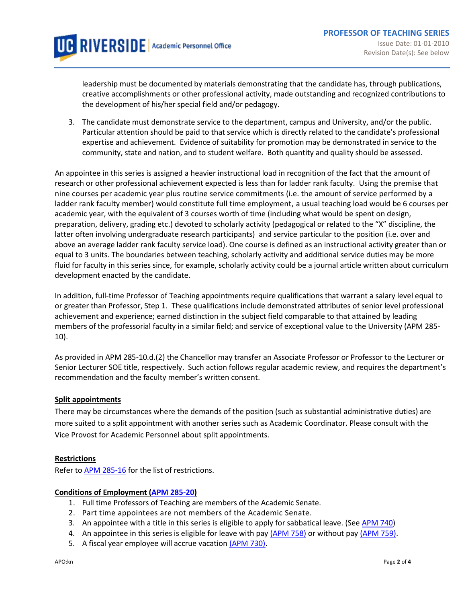leadership must be documented by materials demonstrating that the candidate has, through publications, creative accomplishments or other professional activity, made outstanding and recognized contributions to the development of his/her special field and/or pedagogy.

3. The candidate must demonstrate service to the department, campus and University, and/or the public. Particular attention should be paid to that service which is directly related to the candidate's professional expertise and achievement. Evidence of suitability for promotion may be demonstrated in service to the community, state and nation, and to student welfare. Both quantity and quality should be assessed.

An appointee in this series is assigned a heavier instructional load in recognition of the fact that the amount of research or other professional achievement expected is less than for ladder rank faculty. Using the premise that nine courses per academic year plus routine service commitments (i.e. the amount of service performed by a ladder rank faculty member) would constitute full time employment, a usual teaching load would be 6 courses per academic year, with the equivalent of 3 courses worth of time (including what would be spent on design, preparation, delivery, grading etc.) devoted to scholarly activity (pedagogical or related to the "X" discipline, the latter often involving undergraduate research participants) and service particular to the position (i.e. over and above an average ladder rank faculty service load). One course is defined as an instructional activity greater than or equal to 3 units. The boundaries between teaching, scholarly activity and additional service duties may be more fluid for faculty in this series since, for example, scholarly activity could be a journal article written about curriculum development enacted by the candidate.

In addition, full-time Professor of Teaching appointments require qualifications that warrant a salary level equal to or greater than Professor, Step 1. These qualifications include demonstrated attributes of senior level professional achievement and experience; earned distinction in the subject field comparable to that attained by leading members of the professorial faculty in a similar field; and service of exceptional value to the University (APM 285- 10).

As provided in APM 285-10.d.(2) the Chancellor may transfer an Associate Professor or Professor to the Lecturer or Senior Lecturer SOE title, respectively. Such action follows regular academic review, and requires the department's recommendation and the faculty member's written consent.

## **Split appointments**

There may be circumstances where the demands of the position (such as substantial administrative duties) are more suited to a split appointment with another series such as Academic Coordinator. Please consult with the Vice Provost for Academic Personnel about split appointments.

## **Restrictions**

Refer t[o APM 285-16](http://www.ucop.edu/academic-personnel-programs/_files/apm/apm-285.pdf) for the list of restrictions.

## **Conditions of Employment [\(APM 285-20\)](http://www.ucop.edu/academic-personnel-programs/_files/apm/apm-285.pdf)**

- 1. Full time Professors of Teaching are members of the Academic Senate.
- 2. Part time appointees are not members of the Academic Senate.
- 3. An appointee with a title in this series is eligible to apply for sabbatical leave. (Se[e APM 740\)](https://ucop.edu/academic-personnel-programs/_files/apm/apm-740.pdf)
- 4. An appointee in this series is eligible for leave with pay [\(APM 758\)](http://www.ucop.edu/academic-personnel/_files/apm/apm-758.pdf) or without pay [\(APM 759\).](http://www.ucop.edu/academic-personnel/_files/apm/apm-759.pdf)
- 5. A fiscal year employee will accrue vacation [\(APM 730\).](http://www.ucop.edu/academic-personnel/_files/apm/apm-730.pdf)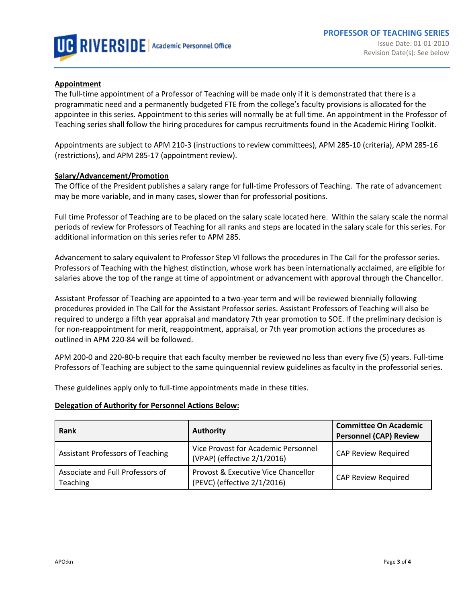

#### **Appointment**

The full-time appointment of a Professor of Teaching will be made only if it is demonstrated that there is a programmatic need and a permanently budgeted FTE from the college's faculty provisions is allocated for the appointee in this series. Appointment to this series will normally be at full time. An appointment in the Professor of Teaching series shall follow the hiring procedures for campus recruitments found in the Academic Hiring Toolkit.

Appointments are subject to APM 210-3 (instructions to review committees), APM 285-10 (criteria), APM 285-16 (restrictions), and APM 285-17 (appointment review).

#### **Salary/Advancement/Promotion**

The Office of the President publishes a salary range for full-time Professors of Teaching. The rate of advancement may be more variable, and in many cases, slower than for professorial positions.

Full time Professor of Teaching are to be placed on the salary scale locate[d here.](https://www.ucop.edu/academic-personnel-programs/compensation/2020-21-academic-salary-scales.html) Within the salary scale the normal periods of review for Professors of Teaching for all ranks and steps are located in the salary scale for this series. For additional information on this series refer t[o APM 285.](https://www.ucop.edu/academic-personnel-programs/_files/apm/apm-285.pdf)

Advancement to salary equivalent to Professor Step VI follows the procedures in The Call for the professor series. Professors of Teaching with the highest distinction, whose work has been internationally acclaimed, are eligible for salaries above the top of the range at time of appointment or advancement with approval through the Chancellor.

Assistant Professor of Teaching are appointed to a two-year term and will be reviewed biennially following procedures provided in The Call for the Assistant Professor series. Assistant Professors of Teaching will also be required to undergo a fifth year appraisal and mandatory 7th year promotion to SOE. If the preliminary decision is for non-reappointment for merit, reappointment, appraisal, or 7th year promotion actions the procedures as outlined i[n APM 220-84](http://www.ucop.edu/academic-personnel/_files/apm/apm-220.pdf) will be followed.

APM 200-0 and 220-80-b require that each faculty member be reviewed no less than every five (5) years. Full-time Professors of Teaching are subject to the same quinquennial review guidelines as faculty in the professorial series.

These guidelines apply only to full-time appointments made in these titles.

#### **Delegation of Authority for Personnel Actions Below:**

| Rank                                                | <b>Authority</b>                                                   | <b>Committee On Academic</b><br><b>Personnel (CAP) Review</b> |  |
|-----------------------------------------------------|--------------------------------------------------------------------|---------------------------------------------------------------|--|
| <b>Assistant Professors of Teaching</b>             | Vice Provost for Academic Personnel<br>(VPAP) (effective 2/1/2016) | <b>CAP Review Required</b>                                    |  |
| Associate and Full Professors of<br><b>Teaching</b> | Provost & Executive Vice Chancellor<br>(PEVC) (effective 2/1/2016) | <b>CAP Review Required</b>                                    |  |